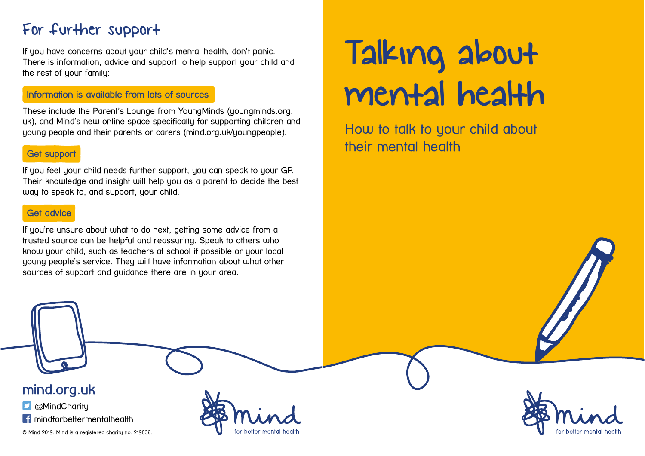# For further support

If you have concerns about your child's mental health, don't panic. There is information, advice and support to help support your child and the rest of your family:

#### Information is available from lots of sources

These include the Parent's Lounge from YoungMinds (youngminds.org. uk), and Mind's new online space specifically for supporting children and young people and their parents or carers (mind.org.uk/youngpeople).

#### Get support

If you feel your child needs further support, you can speak to your GP. Their knowledge and insight will help you as a parent to decide the best way to speak to, and support, your child.

#### Get advice

If you're unsure about what to do next, getting some advice from a trusted source can be helpful and reassuring. Speak to others who know your child, such as teachers at school if possible or your local young people's service. They will have information about what other sources of support and guidance there are in your area.

# Talking about mental health

How to talk to your child about their mental health



**D** @MindCharitu

**f** mindforbettermentalhealth

© Mind 2019. Mind is a registered charity no. 219830.